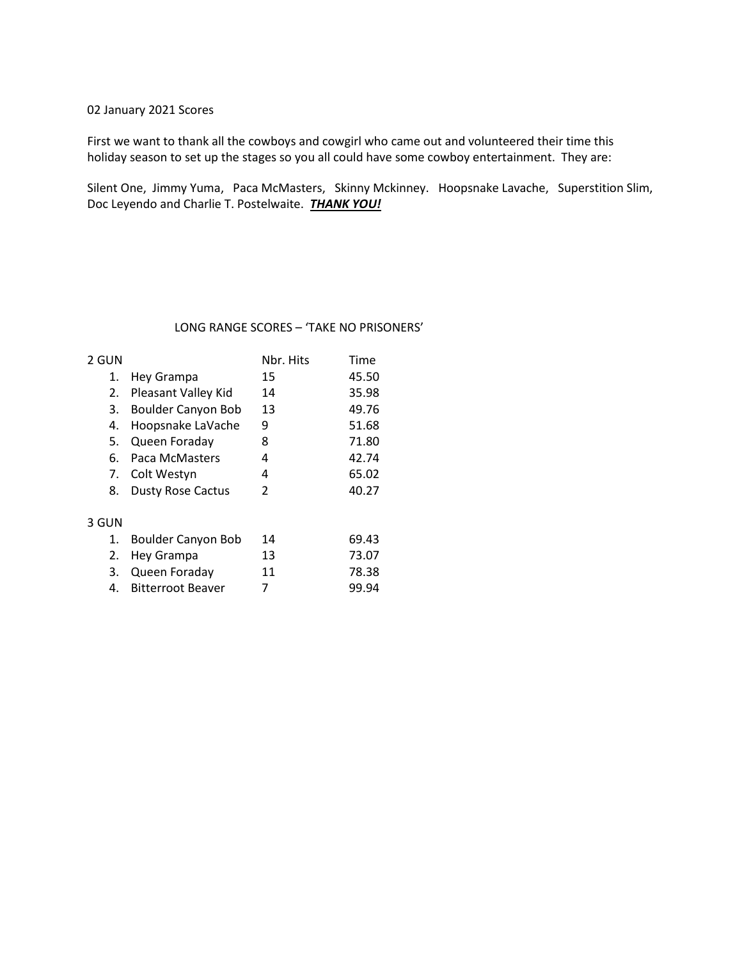#### 02 January 2021 Scores

First we want to thank all the cowboys and cowgirl who came out and volunteered their time this holiday season to set up the stages so you all could have some cowboy entertainment. They are:

Silent One, Jimmy Yuma, Paca McMasters, Skinny Mckinney. Hoopsnake Lavache, Superstition Slim, Doc Leyendo and Charlie T. Postelwaite. *THANK YOU!* 

#### LONG RANGE SCORES – 'TAKE NO PRISONERS'

| 2 GUN |                            | Nbr. Hits     | Time  |
|-------|----------------------------|---------------|-------|
| 1.    | Hey Grampa                 | 15            | 45.50 |
| 2.    | <b>Pleasant Valley Kid</b> | 14            | 35.98 |
| 3.    | Boulder Canyon Bob         | 13            | 49.76 |
| 4.    | Hoopsnake LaVache          | 9             | 51.68 |
| 5.    | Queen Foraday              | 8             | 71.80 |
| 6.    | Paca McMasters             | 4             | 42.74 |
|       | 7. Colt Westyn             | 4             | 65.02 |
| 8.    | <b>Dusty Rose Cactus</b>   | $\mathcal{P}$ | 40.27 |
|       |                            |               |       |
| 3 GUN |                            |               |       |
| 1     | Doulder Conven Deh         |               | CO 17 |

| ۰. | .<br>۰.<br>× |     |
|----|--------------|-----|
|    |              | . . |

| 1. Boulder Canyon Bob | 14 | 69.43 |
|-----------------------|----|-------|
| 2. Hey Grampa         | 13 | 73.07 |
| 3. Queen Foraday      | 11 | 78.38 |
| 4. Bitterroot Beaver  | 7  | 99.94 |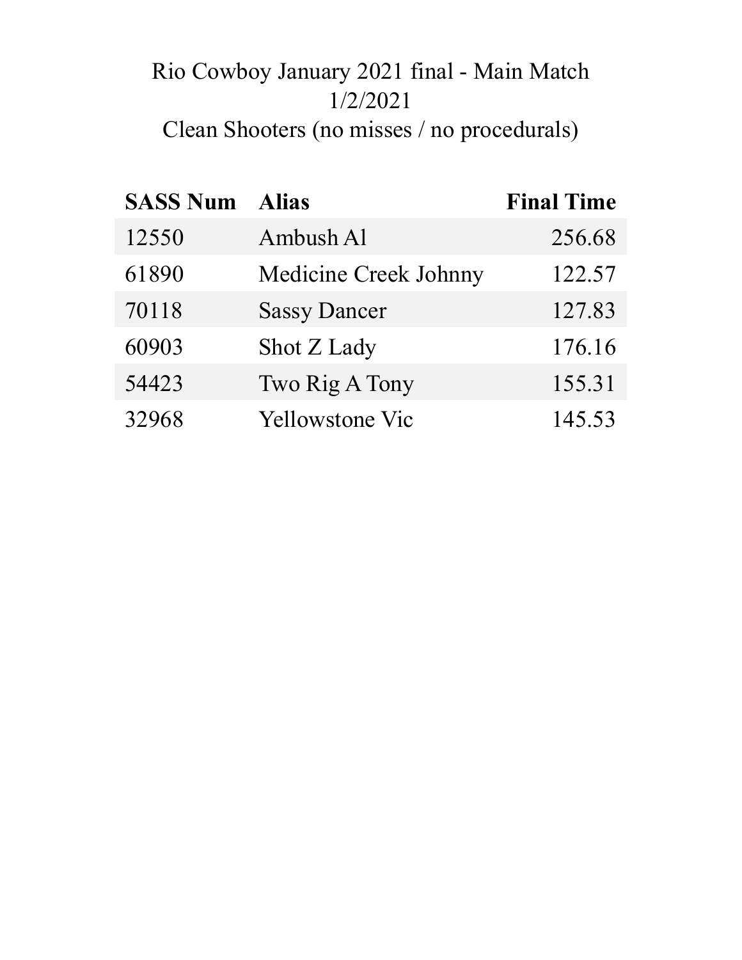# Rio Cowboy January 2021 final - Main Match 1/2/2021 Clean Shooters (no misses / no procedurals)

| <b>SASS Num</b> | <b>Alias</b>                 | <b>Final Time</b> |
|-----------------|------------------------------|-------------------|
| 12550           | Ambush Al                    | 256.68            |
| 61890           | <b>Medicine Creek Johnny</b> | 122.57            |
| 70118           | <b>Sassy Dancer</b>          | 127.83            |
| 60903           | Shot Z Lady                  | 176.16            |
| 54423           | Two Rig A Tony               | 155.31            |
| 32968           | <b>Yellowstone Vic</b>       | 145.53            |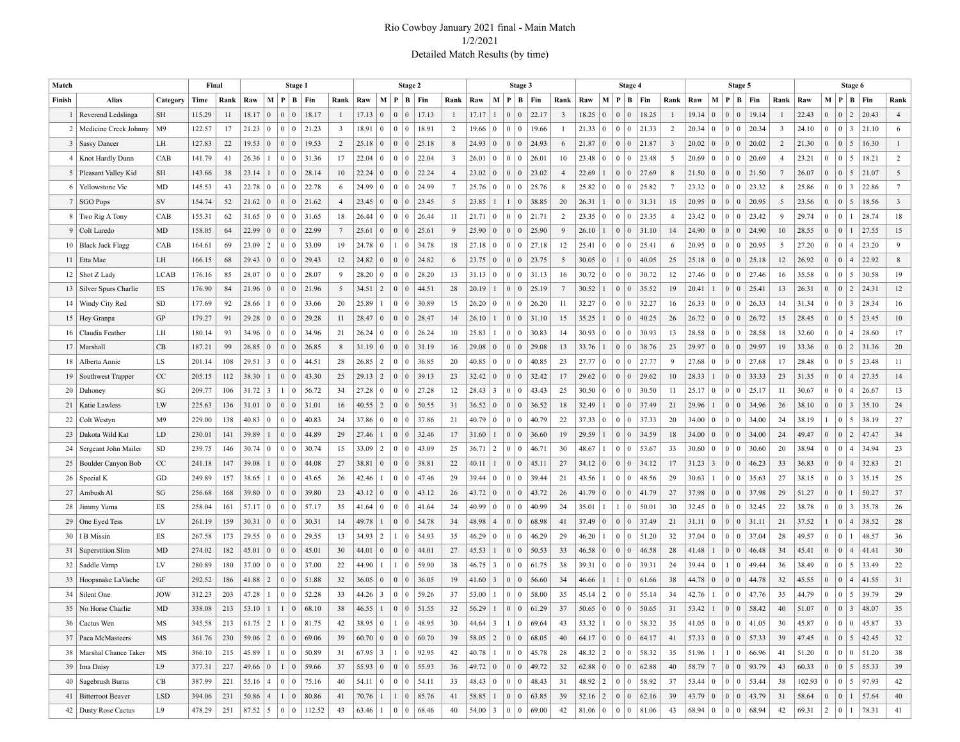#### Rio Cowboy January 2021 final - Main Match 1/2/2021 Detailed Match Results (by time)

| Match           |                           |                             | Final  |      |       |                 |                                        | Stage 1           |                                    |                 |       |                  |                                   | Stage 2                                 |                 |             |                 | Stage 3                           |                       |                |                                                                                    |                 | Stage 4                          |                             |                 |       |                 | Stage 5                          |                             |                         |                      |                |                 | Stage 6                                                                      |       |                 |
|-----------------|---------------------------|-----------------------------|--------|------|-------|-----------------|----------------------------------------|-------------------|------------------------------------|-----------------|-------|------------------|-----------------------------------|-----------------------------------------|-----------------|-------------|-----------------|-----------------------------------|-----------------------|----------------|------------------------------------------------------------------------------------|-----------------|----------------------------------|-----------------------------|-----------------|-------|-----------------|----------------------------------|-----------------------------|-------------------------|----------------------|----------------|-----------------|------------------------------------------------------------------------------|-------|-----------------|
| Finish          | Alias                     | Category                    | Time   | Rank | Raw   |                 | M   P   B   Fin                        |                   |                                    | Rank            | Raw   | $\mathbf{M}$     |                                   | $P \mid B \mid Fin$                     | Rank            | Raw         |                 | M   P   B   Fin                   |                       | Rank           | Raw                                                                                | M   P           |                                  | $B$ Fin                     | Rank            | Raw   |                 | M   P   B   Fin                  |                             | Rank                    | Raw                  | M              |                 | $ P B $ Fin                                                                  |       | Rank            |
|                 | Reverend Ledslinga        | SH                          | 115.29 | 11   | 18.17 | $\vert 0 \vert$ | $0 \mid 0$                             |                   | 18.17                              | 1               | 17.13 | $\mathbf{0}$     | $\mathbf{0}$<br>$\mathbf{0}$      | 17.13                                   |                 | 17.17       | $\overline{1}$  | 0 <sup>0</sup>                    | 22.17                 | 3              | 18.25                                                                              | $\vert 0 \vert$ | $\Omega$<br>$\Omega$             | 18.25                       |                 | 19.14 | $\vert 0 \vert$ | 0 <sup>1</sup><br>$\overline{0}$ | 19.14                       | -1                      | 22.43                | $\Omega$       | $\overline{0}$  | $\overline{2}$                                                               | 20.43 | $\overline{4}$  |
| 2 <sub>1</sub>  | Medicine Creek Johnny     | M9                          | 122.57 | 17   | 21.23 | $\vert 0 \vert$ | 0 <sup>10</sup>                        |                   | 21.23                              | $\overline{3}$  | 18.91 | $\overline{0}$   | $\mathbf{0}$<br>$\bf{0}$          | 18.91                                   | 2               | 19.66       | $\vert 0 \vert$ | $0 \mid 0$                        | 19.66                 | -1             | 21.33                                                                              | $\overline{0}$  | $\overline{0}$<br>$\Omega$       | 21.33                       | 2               | 20.34 | $\overline{0}$  | 0 <sup>10</sup>                  | 20.34                       | $\overline{\mathbf{3}}$ | 24.10                | $\mathbf{0}$   | $\overline{0}$  | $\vert 3 \vert$                                                              | 21.10 | 6               |
| 3               | <b>Sassy Dancer</b>       | LH                          | 127.83 | 22   | 19.53 | $\vert 0 \vert$ |                                        |                   | 19.53                              | 2               | 25.18 | $\overline{0}$   | $\mathbf{0}$<br>$\mathbf{0}$      | 25.18                                   | 8               | 24.93       | $\vert 0 \vert$ | $0 \mid 0$                        | 24.93                 | 6              | 21.87                                                                              | $\vert 0 \vert$ | $\overline{0}$<br>$\overline{0}$ | 21.87                       | 3               | 20.02 | $\overline{0}$  | 0 <sup>0</sup>                   | 20.02                       | 2                       | 21.30                | $\overline{0}$ | $\overline{0}$  | 5                                                                            | 16.30 | $\mathbf{1}$    |
| 4               | Knot Hardly Dunn          | CAB                         | 141.79 | 41   | 26.36 | $\overline{1}$  | $\vert 0 \vert$                        | $\vert 0 \rangle$ | 31.36                              | 17              | 22.04 | $\mathbf{0}$     | $\mathbf{0}$<br>$\bf{0}$          | 22.04                                   | 3               | 26.01       | $\vert 0 \vert$ | $0 \mid 0$                        | 26.01                 | 10             | 23.48                                                                              | $\overline{0}$  | $\mathbf{0}$<br>$\Omega$         | 23.48                       | 5               | 20.69 | $\overline{0}$  | 0 <sup>10</sup>                  | 20.69                       | $\overline{4}$          | 23.21                | $\overline{0}$ | $\overline{0}$  | 5                                                                            | 18.21 | $\overline{2}$  |
|                 | 5   Pleasant Valley Kid   | SH                          | 143.66 | 38   | 23.14 | 1               | $\begin{array}{c c} 0 & 0 \end{array}$ |                   | 28.14                              | 10              | 22.24 | $\overline{0}$   | $\mathbf{0}$<br>$\mathbf{0}$      | 22.24                                   | $\overline{4}$  | 23.02       | $\overline{0}$  | 0 <sup>0</sup>                    | 23.02                 | $\overline{4}$ | 22.69                                                                              |                 | $\overline{0}$<br>$\overline{0}$ | 27.69                       | 8               | 21.50 | $\overline{0}$  | 0 <sup>0</sup>                   | 21.50                       | 7                       | 26.07                | $\overline{0}$ | $\overline{0}$  | 5                                                                            | 21.07 | 5               |
|                 | 6   Yellowstone Vic       | MD                          | 145.53 | 43   | 22.78 | $\bf{0}$        | $\bf{0}$                               | $\vert 0 \rangle$ | 22.78                              | 6               | 24.99 | $\mathbf{0}$     | $\mathbf{0}$<br>$\bf{0}$          | 24.99                                   | $7\phantom{.0}$ | 25.76       | $\vert 0 \vert$ | $0 \mid 0$                        | 25.76                 | 8              | 25.82                                                                              | $\overline{0}$  | $\mathbf{0}$<br>$\Omega$         | 25.82                       | $7\phantom{.0}$ | 23.32 | $\overline{0}$  | 0 <sup>10</sup>                  | 23.32                       | 8                       | 25.86                | $\mathbf{0}$   | $\overline{0}$  | $\overline{3}$                                                               | 22.86 | $7\phantom{.0}$ |
|                 | 7   SGO Pops              | SV                          | 154.74 | 52   | 21.62 | $\vert 0 \vert$ |                                        |                   | 21.62                              | $\overline{4}$  | 23.45 | $\mathbf{0}$     | $\mathbf{0}$<br>$\overline{0}$    | 23.45                                   | 5               | 23.85       |                 | $\vert 0 \vert$                   | 38.85                 | 20             | 26.31                                                                              | -1              | $\overline{0}$<br>$\overline{0}$ | 31.31                       | 15              | 20.95 | $\vert 0 \vert$ | 0 <sup>0</sup>                   | 20.95                       | 5                       | 23.56                | $\overline{0}$ | $\vert 0 \vert$ | 5                                                                            | 18.56 | $\overline{3}$  |
|                 | 8 Two Rig A Tony          | CAB                         | 155.31 | 62   | 31.65 | $\bf{0}$        | $\vert 0 \vert$                        | $\overline{0}$    | 31.65                              | 18              | 26.44 | $\mathbf{0}$     | $\mathbf{0}$<br>$\bf{0}$          | 26.44                                   | 11              | 21.71       | $\vert 0 \vert$ | $0 \mid 0$                        | 21.71                 | 2              | 23.35                                                                              | $\vert 0 \vert$ | $\mathbf{0}$<br>$\mathbf{0}$     | 23.35                       | 4               | 23.42 | $\overline{0}$  | 0 <sup>10</sup>                  | 23.42                       | 9                       | 29.74                | $\mathbf{0}$   | $\overline{0}$  | $\overline{1}$                                                               | 28.74 | 18              |
|                 | 9   Colt Laredo           | MD                          | 158.05 | 64   | 22.99 | $\mathbf{0}$    | 0 <sup>10</sup>                        |                   | 22.99                              | $7\phantom{.0}$ | 25.61 | $\mathbf{0}$     | $\mathbf{0}$<br>$\overline{0}$    | 25.61                                   | 9               | 25.90       | $\vert 0 \vert$ | $0 \mid 0$                        | 25.90                 | 9              | 26.10                                                                              |                 | $\overline{0}$<br>$\overline{0}$ | 31.10                       | 14              | 24.90 | $\overline{0}$  | 0 <sup>0</sup>                   | 24.90                       | 10                      | 28.55                | $\overline{0}$ | $\overline{0}$  | $\overline{1}$                                                               | 27.55 | 15              |
| 10 <sup>1</sup> | <b>Black Jack Flagg</b>   | CAB                         | 164.61 | 69   | 23.09 | $\overline{2}$  | $\mid 0 \rangle$                       | 0                 | 33.09                              | 19              | 24.78 | $\overline{0}$   | $\bf{0}$<br>$\mathbf{1}$          | 34.78                                   | 18              | 27.18       | $\vert 0 \vert$ | $0 \mid 0$                        | 27.18                 | 12             | 25.41                                                                              | $\overline{0}$  | $\mathbf{0}$<br>$\Omega$         | 25.41                       | 6               | 20.95 | $\overline{0}$  | 0 <sup>10</sup>                  | 20.95                       | 5                       | 27.20                | $\mathbf{0}$   | $\overline{0}$  | $\overline{4}$                                                               | 23.20 | 9               |
|                 | 11   Etta Mae             | LH                          | 166.15 | 68   | 29.43 | $\mathbf{0}$    |                                        |                   | 29.43                              | 12              | 24.82 | $\overline{0}$   | $\mathbf{0}$<br>$\mathbf{0}$      | 24.82                                   | 6               | 23.75       | $\vert 0 \vert$ | $0 \mid 0$                        | 23.75                 | 5              | 30.05                                                                              | $\vert 0 \vert$ | $\mathbf{0}$                     | 40.05                       | 25              | 25.18 | $\overline{0}$  | 0 <sup>0</sup>                   | 25.18                       | 12                      | 26.92                | $\overline{0}$ | $\overline{0}$  | $\overline{4}$                                                               | 22.92 | 8               |
| 12 <sup>1</sup> | Shot Z Lady               | LCAB                        | 176.16 | 85   | 28.07 | $\bf{0}$        | $\bf{0}$                               | 0                 | 28.07                              | 9               | 28.20 | $\overline{0}$   | $\mathbf{0}$<br>$\bf{0}$          | 28.20                                   | 13              | 31.13       | $\vert 0 \vert$ | $0 \mid 0$                        | 31.13                 | 16             | 30.72                                                                              | $\overline{0}$  | $\mathbf{0}$<br>$\Omega$         | 30.72                       | 12              | 27.46 | $\overline{0}$  | 0 <sup>10</sup>                  | 27.46                       | 16                      | 35.58                | $\mathbf{0}$   | $\overline{0}$  | 5                                                                            | 30.58 | 19              |
|                 | 13   Silver Spurs Charlie | ES                          | 176.90 | 84   | 21.96 | $\mathbf{0}$    |                                        |                   | 21.96                              | 5               | 34.51 | $\sqrt{2}$       | $\mathbf{0}$<br>$\mathbf{0}$      | 44.51                                   | 28              | 20.19       |                 | $0 \mid 0$                        | 25.19                 | $\overline{7}$ | 30.52                                                                              |                 | $\overline{0}$<br>$\mathbf{0}$   | 35.52                       | 19              | 20.41 |                 | 0 <sup>0</sup>                   | 25.41                       | 13                      | 26.31                | $\overline{0}$ | $\vert 0 \vert$ | $\vert 2 \vert$                                                              | 24.31 | 12              |
| 14 <sup>1</sup> | Windy City Red            | <b>SD</b>                   | 177.69 | 92   | 28.66 | $\overline{1}$  | $\pm 0$ .                              | $\overline{0}$    | 33.66                              | 20              | 25.89 |                  | $\mathbf{0}$<br>$\bf{0}$          | 30.89                                   | 15              | 26.20       | $\vert 0 \vert$ | $0 \mid 0$                        | 26.20                 | 11             | 32.27                                                                              | $\vert 0 \vert$ | $\Omega$<br>$\mathbf{0}$         | 32.27                       | 16              | 26.33 | $\overline{0}$  | 0 <sup>10</sup>                  | 26.33                       | 14                      | 31.34                | $\mathbf{0}$   | $\overline{0}$  | $\overline{3}$                                                               | 28.34 | 16              |
|                 | 15   Hey Granpa           | GP                          | 179.27 | 91   | 29.28 | $\vert 0 \vert$ |                                        |                   | 29.28                              | 11              | 28.47 | $\mathbf{0}$     | $\mathbf{0}$<br>$\overline{0}$    | 28.47                                   | 14              | 26.10       |                 | $0 \mid 0$                        | 31.10                 | 15             | 35.25                                                                              |                 | $\mathbf{0}$<br>$\mathbf{0}$     | 40.25                       | 26              | 26.72 | $\vert 0 \vert$ | $0 \mid 0$                       | 26.72                       | 15                      | 28.45                | $\overline{0}$ | $\vert 0 \vert$ | 5                                                                            | 23.45 | 10              |
| 16 <sup>1</sup> | Claudia Feather           | LH                          | 180.14 | 93   | 34.96 | $\bf{0}$        | $\vert 0 \vert$                        | $\vert 0 \rangle$ | 34.96                              | 21              | 26.24 | $\overline{0}$   | $\mathbf{0}$<br>$\bf{0}$          | 26.24                                   | 10              | 25.83       |                 | $0 \mid 0$                        | 30.83                 | 14             | 30.93                                                                              | $\vert 0 \vert$ | $\mathbf{0}$<br>$\Omega$         | 30.93                       | 13              | 28.58 | $\overline{0}$  | 0 <sup>1</sup><br>$\bf{0}$       | 28.58                       | 18                      | 32.60                | $\mathbf{0}$   | $\overline{0}$  | $\overline{4}$                                                               | 28.60 | 17              |
| 17              | Marshall                  | CB                          | 187.21 | 99   | 26.85 | $\mathbf{0}$    |                                        |                   | 26.85                              | 8               | 31.19 | $\overline{0}$   | $\mathbf{0}$<br>$\mathbf{0}$      | 31.19                                   | 16              | 29.08       | $\vert 0 \vert$ | $0 \mid 0$                        | 29.08                 | 13             | 33.76                                                                              |                 | $\mathbf{0}$<br>$\Omega$         | 38.76                       | 23              | 29.97 | $\vert 0 \vert$ | 0 <sup>0</sup>                   | 29.97                       | 19                      | 33.36                | $\overline{0}$ | $\overline{0}$  | $\overline{2}$                                                               | 31.36 | 20              |
| 18              | Alberta Annie             | LS                          | 201.14 | 108  | 29.51 | $\vert 3 \vert$ | $\epsilon$ 0                           | $\Omega$          | 44.51                              | 28              | 26.85 | $\cdot$ 2        | $\mathbf{0}$<br>$\bf{0}$          | 36.85                                   | 20              | 40.85       | $\vert 0 \vert$ | 0 <sup>1</sup>                    | 40.85                 | 23             | 27.77                                                                              | $\vert 0 \vert$ | $\mathbf{0}$<br>$\Omega$         | 27.77                       | 9               | 27.68 | $\bf{0}$        | 0 <sup>10</sup>                  | 27.68                       | 17                      | 28.48                | $\mathbf{0}$   | $\overline{0}$  | 5                                                                            | 23.48 | 11              |
| 19              | Southwest Trapper         | CC                          | 205.15 | 112  | 38.30 | 1               | $\vert 0 \vert 0$                      |                   | 43.30                              | 25              | 29.13 | $\sqrt{2}$       | $\mathbf{0}$<br>$\mathbf{0}$      | 39.13                                   | 23              | 32.42       | $\vert 0 \vert$ | 0 <sup>0</sup>                    | 32.42                 | 17             | 29.62                                                                              | $\vert 0 \vert$ | $\mathbf{0}$<br>$\Omega$         | 29.62                       | 10              | 28.33 |                 | 0 <sup>0</sup>                   | 33.33                       | 23                      | 31.35                | $\overline{0}$ | $\overline{0}$  | $\overline{4}$                                                               | 27.35 | 14              |
| 20 <sup>1</sup> | Dahoney                   | SG                          | 209.77 | 106  | 31.72 | $\vert 3 \vert$ | $1 \mid 0$                             |                   | 56.72                              | 34              | 27.28 | $\mathbf{0}$     | $\mathbf{0}$<br>$\bf{0}$          | 27.28                                   | 12              | 28.43       | $\vert 3 \vert$ | 0 <sup>1</sup>                    | 43.43                 | 25             | 30.50                                                                              | $\bf{0}$        | $\mathbf{0}$<br>$\Omega$         | 30.50                       | 11              | 25.17 | $\vert 0 \vert$ | 0 <sup>10</sup>                  | 25.17                       | 11                      | 30.67                | $\mathbf{0}$   | $\overline{0}$  | $\overline{4}$                                                               | 26.67 | 13              |
| 21              | Katie Lawless             | LW                          | 225.63 | 136  | 31.01 | $\vert 0 \vert$ |                                        |                   | 31.01                              | 16              | 40.55 | $\sqrt{2}$       | $\mathbf{0}$<br>$\mathbf{0}$      | 50.55                                   | 31              | 36.52       | $\vert 0 \vert$ | 0 <sup>0</sup>                    | 36.52                 | 18             | 32.49                                                                              |                 | $\overline{0}$<br>$\overline{0}$ | 37.49                       | 21              | 29.96 |                 | 0 <sup>1</sup>                   | 34.96                       | 26                      | 38.10                | $\overline{0}$ | $\overline{0}$  | $\overline{\mathbf{3}}$                                                      | 35.10 | 24              |
| 22              | Colt Westyn               | M9                          | 229.00 | 138  | 40.83 | $\bf{0}$        | $\bf{0}$                               | 0                 | 40.83                              | 24              | 37.86 | $\overline{0}$   | $\mathbf{0}$<br>$\bf{0}$          | 37.86                                   | 21              | 40.79       | $\vert 0 \vert$ | $\overline{0}$<br>$\vert 0 \vert$ | 40.79                 | 22             | 37.33                                                                              | $\overline{0}$  | $\mathbf{0}$<br>$\mathbf{0}$     | 37.33                       | 20              | 34.00 | $\bf{0}$        | 0 <sup>10</sup>                  | 34.00                       | 24                      | 38.19                | 1              | $\overline{0}$  | 5                                                                            | 38.19 | 27              |
| 23              | Dakota Wild Kat           | LD                          | 230.01 | 141  | 39.89 | 1               | $\begin{array}{c c} 0 & 0 \end{array}$ |                   | 44.89                              | 29              | 27.46 |                  | $\mathbf{0}$<br>$\mathbf{0}$      | 32.46                                   | 17              | 31.60       |                 | $0 \mid 0$                        | 36.60                 | 19             | 29.59                                                                              |                 | $\overline{0}$<br>$\overline{0}$ | 34.59                       | 18              | 34.00 | $\overline{0}$  | 0 <sup>0</sup>                   | 34.00                       | 24                      | 49.47                | $\overline{0}$ | $\overline{0}$  | $\vert 2 \vert$                                                              | 47.47 | 34              |
| 24              | Sergeant John Mailer      | SD                          | 239.75 | 146  | 30.74 | $\vert 0 \vert$ | $\bf{0}$                               | $\overline{0}$    | 30.74                              | 15              | 33.09 | $\overline{c}$   | $\mathbf{0}$<br>$\bf{0}$          | 43.09                                   | 25              | 36.71       | $\vert 2 \vert$ | $0 \mid 0$                        | 46.71                 | 30             | 48.67                                                                              |                 | $\mathbf{0}$<br>$\Omega$         | 53.67                       | 33              | 30.60 | $\bf{0}$        | 0 <sup>1</sup>                   | 30.60                       | 20                      | 38.94                | $\mathbf{0}$   | $\overline{0}$  | $\overline{4}$                                                               | 34.94 | 23              |
|                 | 25   Boulder Canyon Bob   | CC                          | 241.18 | 147  | 39.08 | 1               | $\begin{array}{c c} 0 & 0 \end{array}$ |                   | 44.08                              | 27              | 38.81 | $\mathbf{0}$     | $\mathbf{0}$<br>$\mathbf{0}$      | 38.81                                   | 22              | 40.11       |                 | 0 <sup>0</sup>                    | 45.11                 | 27             | 34.12                                                                              | $\vert 0 \vert$ | $\overline{0}$<br>$\overline{0}$ | 34.12                       | 17              | 31.23 | $\overline{3}$  | 0 <sup>0</sup>                   | 46.23                       | 33                      | 36.83                | $\overline{0}$ | $\overline{0}$  | $\overline{4}$                                                               | 32.83 | 21              |
| 26              | Special K                 | GD                          | 249.89 | 157  | 38.65 | -1              | $\vert 0 \vert$                        | $\vert 0 \rangle$ | 43.65                              | 26              | 42.46 |                  | $\mathbf{0}$<br>$\bf{0}$          | 47.46                                   | 29              | 39.44       | $\vert 0 \vert$ | 0 <sup>10</sup>                   | 39.44                 | 21             | 43.56                                                                              |                 | $\Omega$<br>$\Omega$             | 48.56                       | 29              | 30.63 |                 | 0 <sup>1</sup>                   | 35.63                       | 27                      | 38.15                | $\mathbf{0}$   | $\overline{0}$  | $\overline{3}$                                                               | 35.15 | 25              |
|                 | $27$   Ambush Al          | SG                          | 256.68 | 168  | 39.80 | $\mathbf{0}$    |                                        |                   | 39.80                              | 23              | 43.12 | $\mathbf{0}$     | $\mathbf{0}$<br>$\mathbf{0}$      | 43.12                                   | 26              | 43.72       | $\vert 0 \vert$ | 0 <sup>0</sup>                    | 43.72                 | 26             | 41.79                                                                              | $\vert 0 \vert$ | $\overline{0}$<br>$\mathbf{0}$   | 41.79                       | 27              | 37.98 | $\overline{0}$  | 0 <sup>0</sup>                   | 37.98                       | 29                      | 51.27                | $\overline{0}$ | $\overline{0}$  | $\overline{1}$                                                               | 50.27 | 37              |
| 28              | Jimmy Yuma                | ES                          | 258.04 | 161  | 57.17 | $\vert 0 \vert$ | $\vert 0 \vert$                        | $\vert 0 \rangle$ | 57.17                              | 35              | 41.64 | $\mathbf{0}$     | $\mathbf{0}$<br>$\bf{0}$          | 41.64                                   | 24              | 40.99       | $\vert 0 \vert$ | 0 <sup>1</sup>                    | 40.99                 | 24             | 35.01                                                                              |                 | $\mathbf{0}$                     | 50.01                       | 30              | 32.45 | $\overline{0}$  | 0 <sup>1</sup><br>$\bf{0}$       | 32.45                       | 22                      | 38.78                | $\mathbf{0}$   | $\overline{0}$  | $\overline{3}$                                                               | 35.78 | 26              |
|                 | 29   One Eyed Tess        | LV                          | 261.19 | 159  | 30.31 | $\mathbf{0}$    |                                        |                   | 30.31                              | 14              | 49.78 |                  | $\mathbf{0}$<br>$\mathbf{0}$      | 54.78                                   | 34              | 48.98       | $\vert 4$       | 0 <sup>1</sup>                    | 68.98                 | 41             | 37.49                                                                              | $\vert 0 \vert$ | $\overline{0}$<br>$\mathbf{0}$   | 37.49                       | 21              | 31.11 | $\overline{0}$  | 0 <sup>0</sup>                   | 31.11                       | 21                      | 37.52                | $\mathbf{1}$   | $\overline{0}$  | $\overline{4}$                                                               | 38.52 | 28              |
|                 | 30   I B Missin           | ES                          | 267.58 | 173  | 29.55 | $\vert 0 \vert$ | $\bf{0}$                               | 0                 | 29.55                              | 13              | 34.93 | $\cdot$ 2        | $\mathbf{1}$<br>$\bf{0}$          | 54.93                                   | 35              | 46.29       | $\vert 0 \vert$ | 0 <sup>1</sup>                    | 46.29                 | 29             | 46.20                                                                              |                 | $\mathbf{0}$<br>$\Omega$         | 51.20                       | 32              | 37.04 | $\overline{0}$  | 0 <sup>1</sup><br>$\bf{0}$       | 37.04                       | 28                      | 49.57                | $\mathbf{0}$   | $\overline{0}$  | $\overline{1}$                                                               | 48.57 | 36              |
| 31              | Superstition Slim         | MD                          | 274.02 | 182  | 45.01 | $\mathbf{0}$    |                                        |                   | 45.01                              | 30              | 44.01 | $\mathbf{0}$     | $\mathbf{0}$<br>$\mathbf{0}$      | 44.01                                   | 27              | 45.53       |                 | 0 <sup>1</sup>                    | 50.53                 | 33             | 46.58                                                                              | $\vert 0 \vert$ | $\overline{0}$<br>$\Omega$       | 46.58                       | 28              | 41.48 |                 | 0 <sup>1</sup>                   | 46.48                       | 34                      | 45.41                | $\overline{0}$ | $\overline{0}$  | $\overline{4}$                                                               | 41.41 | 30              |
| 32              | Saddle Vamp               | LV                          | 280.89 | 180  | 37.00 | $\bf{0}$        | $\vert 0 \vert$                        | 0                 | 37.00                              | 22              | 44.90 |                  | $\bf{0}$<br>1                     | 59.90                                   | 38              | 46.75       | $\vert 3 \vert$ | $0 \mid 0$                        | 61.75                 | 38             | 39.31                                                                              | $\vert 0 \vert$ | $\mathbf{0}$<br>$\Omega$         | 39.31                       | 24              | 39.44 | $\overline{0}$  | $\mathbf{0}$                     | 49.44                       | 36                      | 38.49                | $\mathbf{0}$   | $\overline{0}$  | 5                                                                            | 33.49 | 22              |
|                 | 33 Hoopsnake LaVache      | GF                          | 292.52 | 186  | 41.88 | $\vert 2 \vert$ | $\begin{array}{c c} 0 & 0 \end{array}$ |                   | 51.88                              | 32              | 36.05 | $\mathbf{0}$     | $\mathbf{0}$<br>$\overline{0}$    | 36.05                                   | 19              | 41.60       | $\vert 3 \vert$ | $0 \mid 0$                        | 56.60                 | 34             | 46.66                                                                              |                 | $\Omega$                         | 61.66                       | 38              | 44.78 | $\overline{0}$  | 0 <sup>0</sup>                   | 44.78                       | 32                      | 45.55                | $\overline{0}$ | $\vert 0 \vert$ | $\overline{4}$                                                               | 41.55 | 31              |
| 34              | Silent One                | <b>JOW</b>                  | 312.23 | 203  | 47.28 | $\overline{1}$  | $\mathbf{0}$                           | $\Omega$          | 52.28                              | 33              | 44.26 | 3                | $\mathbf{0}$<br>$\bf{0}$          | 59.26                                   | 37              | 53.00       |                 | 0 <sup>1</sup>                    | 58.00                 | 35             | 45.14                                                                              | $\overline{2}$  | $\Omega$<br>$\Omega$             | 55.14                       | 34              | 42.76 |                 | $\Omega$<br>$\Omega$             | 47.76                       | 35                      | 44.79                | $\overline{0}$ | $\overline{0}$  | 5                                                                            | 39.79 | 29              |
|                 | 35   No Horse Charlie     | MD                          | 338.08 | 213  | 53.10 | $\vert$ 1       | 10                                     |                   | 68.10                              | 38              | 46.55 |                  | $\overline{0}$<br>$\vert 0 \vert$ | 51.55                                   | 32              | 56.29       |                 | $0 \mid 0$                        | 61.29                 | 37             | 50.65                                                                              | $\vert 0 \vert$ | 0 <sup>1</sup>                   | 50.65                       | 31              | 53.42 |                 | 0 <sup>0</sup>                   | 58.42                       | 40                      | 51.07                | $\overline{0}$ | $\vert 0 \vert$ | $\vert 3 \vert$                                                              | 48.07 | 35              |
|                 | 36 Cactus Wen             | MS                          | 345.58 | 213  |       |                 |                                        |                   | $61.75$   2   1   0   81.75        | 42              |       |                  |                                   | 38.95   0   1   0   48.95               | 30              |             |                 | 44.64 3 1 0 69.64                 |                       | 43             | $53.32$   1                                                                        |                 |                                  | 0 0 58.32                   | 35              |       |                 |                                  | $41.05$   0   0   0   41.05 | 30                      | 45.87                |                |                 | 0 0 0 45.87                                                                  |       | 33              |
|                 | 37   Paca McMasteers      | MS                          | 361.76 | 230  |       |                 |                                        |                   | $59.06$   2   0   0   69.06        | 39              |       |                  |                                   | $60.70 \mid 0 \mid 0 \mid 0 \mid 60.70$ | 39              |             |                 | $58.05$   2   0   0   68.05       |                       | 40             | $64.17$   0   0   0   64.17                                                        |                 |                                  |                             | 41              |       |                 |                                  | $57.33$ 0 0 0 57.33         | 39                      | 47.45                |                |                 | 0 05 42.45                                                                   |       | 32              |
|                 | 38   Marshal Chance Taker | MS                          | 366.10 | 215  |       |                 |                                        |                   | 45.89 $1 \mid 0 \mid 0 \mid 50.89$ | 31              |       |                  |                                   | $67.95$ 3 1 0 92.95                     | 42              | $40.78$   1 |                 | 0 0 45.78                         |                       | 28             | 48.32 $\begin{array}{ c c c c c c } \hline 2 & 0 & 0 & 58.32 \ \hline \end{array}$ |                 |                                  |                             | 35              | 51.96 | $\vert$ 1       |                                  | $1 \mid 0 \mid 66.96$       | 41                      | 51.20                |                |                 |                                                                              | 51.20 | 38              |
|                 | 39   Ima Daisy            | L9                          | 377.31 | 227  |       |                 |                                        |                   | 49.66 0 1 0 59.66                  | 37              |       |                  |                                   | $55.93$ 0 0 0 55.93                     | 36              |             |                 | $49.72$ 0 0 0 49.72               |                       | 32             | $62.88$   0   0   0   62.88                                                        |                 |                                  |                             | 40              |       |                 |                                  | $58.79$ 7 0 0 93.79         | 43                      | 60.33                |                |                 | $\begin{array}{ c c c c c c } \hline 0 & 0 & 5 & 55.33 \ \hline \end{array}$ |       | 39              |
|                 | 40   Sagebrush Burns      | CB                          | 387.99 | 221  |       |                 |                                        |                   | $55.16$   4   0   0   75.16        | 40              | 54.11 |                  |                                   | 0 0 0 54.11                             | 33              |             |                 | 48.43 0 0 0 48.43                 |                       | 31             | 48.92 2 0 0 58.92                                                                  |                 |                                  |                             | 37              |       |                 |                                  | 53.44 0 0 0 53.44           | 38                      | $102.93$ 0 0 5 97.93 |                |                 |                                                                              |       | 42              |
|                 | 41   Bitterroot Beaver    | $\ensuremath{\mathsf{LSD}}$ | 394.06 | 231  |       |                 |                                        |                   | $50.86$   4   1   0   80.86        | 41              | 70.76 | $\left(1\right)$ | $1 \mid 0$                        | 85.76                                   | 41              | $58.85$   1 |                 | $ 0 0 $ 63.85                     |                       | 39             |                                                                                    |                 |                                  | $52.16$   2   0   0   62.16 | 39              |       |                 |                                  | 43.79 0 0 0 43.79           | 31                      | 58.64                |                |                 |                                                                              | 57.64 | 40              |
|                 | 42   Dusty Rose Cactus    | L9                          | 478.29 | 251  |       |                 |                                        |                   | 87.52 5 0 0 112.52                 | 43              | 63.46 | $\mathbf{1}$     |                                   | 68.46                                   | 40              | $54.00$ 3   |                 |                                   | $0 \mid 0 \mid 69.00$ | 42             | $81.06$   0   0   0   81.06                                                        |                 |                                  |                             | 43              |       |                 |                                  | $68.94$   0   0   0   68.94 | 42                      | 69.31                |                |                 |                                                                              | 78.31 | 41              |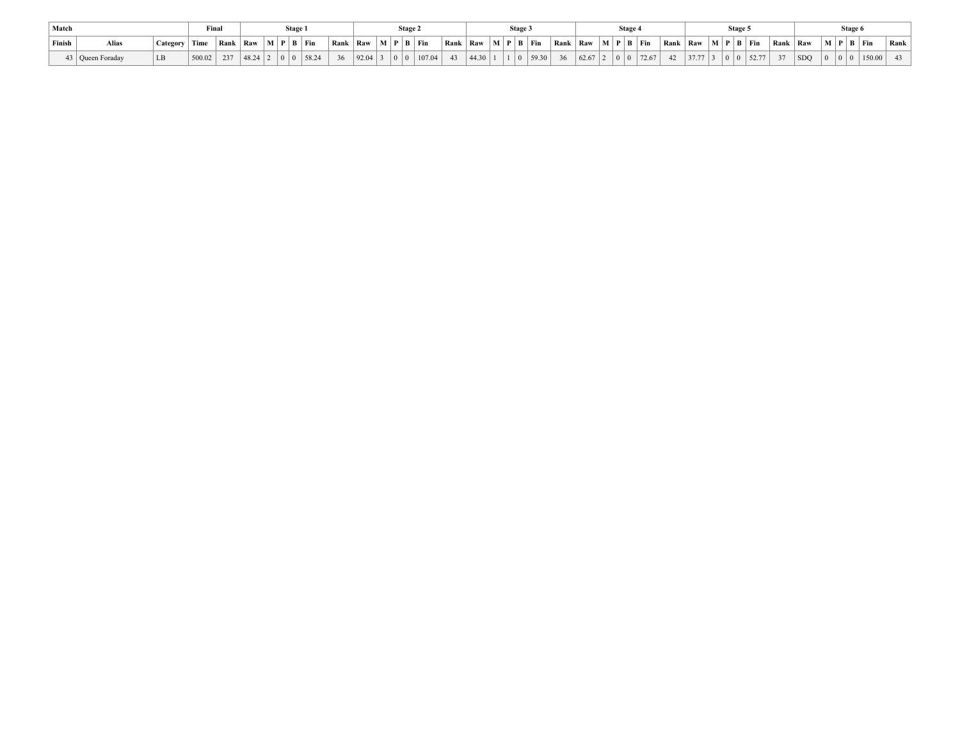| Match  |                    |          | Fina.  |     |         | Stage. |                                                                    |                                                                    |             | Stage 2 |        |                                                                    |         | Stage |                            |                                                                    |  | Stage . |                                                                    |  | Stage: |          |         | Stage 6                                |                                 |      |
|--------|--------------------|----------|--------|-----|---------|--------|--------------------------------------------------------------------|--------------------------------------------------------------------|-------------|---------|--------|--------------------------------------------------------------------|---------|-------|----------------------------|--------------------------------------------------------------------|--|---------|--------------------------------------------------------------------|--|--------|----------|---------|----------------------------------------|---------------------------------|------|
| Finish | Alias              | Category | Time   |     |         |        | $\vert$ Rank $\vert$ Raw $\vert$ M $\vert$ P $\vert$ B $\vert$ Fin | $\vert$ Rank $\vert$ Raw $\vert$ M $\vert$ P $\vert$ B $\vert$ Fin |             |         |        | $\vert$ Rank $\vert$ Raw $\vert$ M $\vert$ P $\vert$ B $\vert$ Fin |         |       |                            | $\vert$ Rank $\vert$ Raw $\vert$ M $\vert$ P $\vert$ B $\vert$ Fin |  |         | $\vert$ Rank $\vert$ Raw $\vert$ M $\vert$ P $\vert$ B $\vert$ Fin |  |        | Rank Raw |         |                                        | $\mid M \mid P \mid B \mid Fin$ | Rank |
|        | 43   Queen Foraday |          | 500.02 | 237 | 48.24 2 |        | 0 0 58.24                                                          | 36                                                                 | 92.04 3 0 0 |         | 107.04 | 43                                                                 | 44.30 1 |       | $1 \mid 0 \mid 59.30 \mid$ | 36                                                                 |  |         |                                                                    |  |        | 37       | $ $ SDQ | $\begin{array}{c c} 0 & 0 \end{array}$ | 150.00                          | 43   |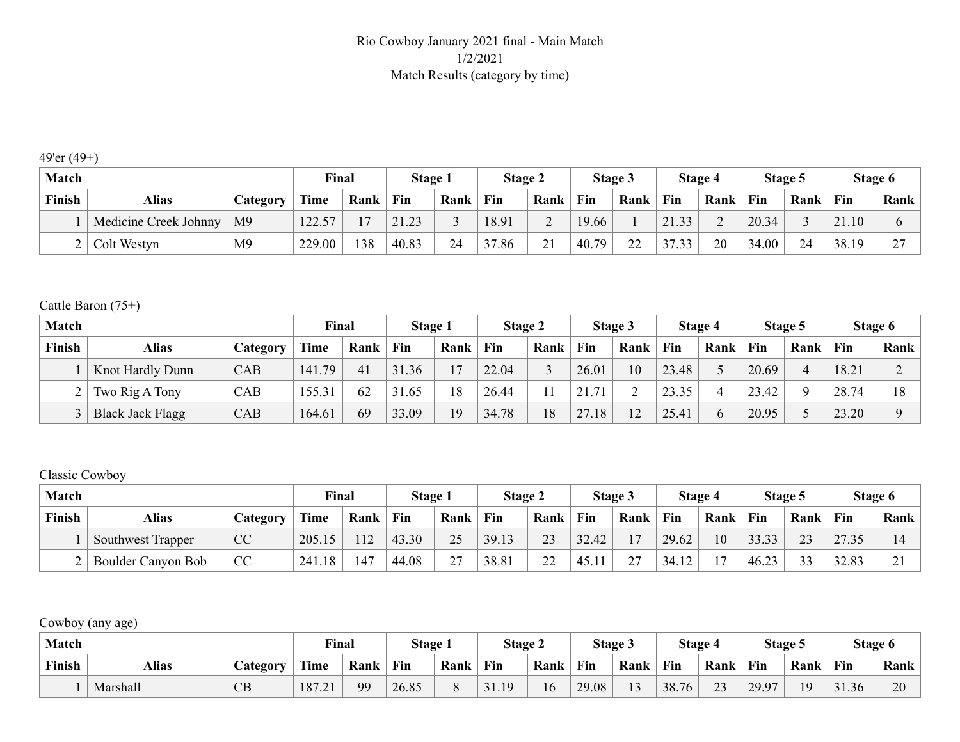### Rio Cowboy January 2021 final - Main Match 1/2/2021 Match Results (category by time)

### 49'er (49+)

| <b>Match</b> |                       |                | Final  |      | Stage 1               |      | Stage 2 |            | Stage 3 |         | Stage 4 |      |       | Stage 5 |       | Stage 6 |
|--------------|-----------------------|----------------|--------|------|-----------------------|------|---------|------------|---------|---------|---------|------|-------|---------|-------|---------|
| Finish       | <b>Alias</b>          | Category       | Time   | Rank | Fin                   | Rank | Fin     | Rank       | Fin     | Rank    | Fin     | Rank | Fin   | Rank    | Fin   | Rank    |
|              | Medicine Creek Johnny | M9             | 122.57 |      | 21.23<br>$2^{\Omega}$ |      | 18.91   | $\sim$     | 19.66   |         | 21.33   | ◠    | 20.34 |         | 21.10 |         |
|              | Colt Westyn           | M <sub>9</sub> | 229.00 | 138  | 40.83                 | 24   | 37.86   | $\gamma$ 1 | 40.79   | ാ<br>∠∠ | 37.33   | 20   | 34.00 | 24      | 38.19 | $\sim$  |

#### Cattle Baron (75+)

| <b>Match</b> |                         |          | Final  |      | Stage 1 |      | Stage 2 |      |       | Stage 3 |       | Stage 4      |       | Stage 5 |       | Stage 6 |
|--------------|-------------------------|----------|--------|------|---------|------|---------|------|-------|---------|-------|--------------|-------|---------|-------|---------|
| Finish       | Alias                   | Category | Time   | Rank | Fin     | Rank | Fin     | Rank | Fin   | Rank    | Fin   | Rank         | Fin   | Rank    | Fin   | Rank    |
|              | Knot Hardly Dunn        | CAB      | 141.79 | 41   | 31.36   |      | 22.04   |      | 26.01 | 10      | 23.48 |              | 20.69 |         | 18.21 |         |
|              | Two Rig A Tony          | CAB      | 155.31 | 62   | 31.65   | 18   | 26.44   | 11   | 21.71 |         | 23.35 |              | 23.42 |         | 28.74 | 18      |
|              | <b>Black Jack Flagg</b> | CAB      | 164.61 | 69   | 33.09   | 19   | 34.78   | 18   | 27.18 | 12      | 25.41 | <sub>b</sub> | 20.95 |         | 23.20 |         |

#### Classic Cowboy

| <b>Match</b> |                    |           | <b>Final</b> |               | <b>Stage 1</b> |               | Stage 2 |      |       | Stage 3   |       | Stage 4        |       | Stage 5 |       | Stage 6       |
|--------------|--------------------|-----------|--------------|---------------|----------------|---------------|---------|------|-------|-----------|-------|----------------|-------|---------|-------|---------------|
| Finish       | Alias              | Category  | Time         | Rank          | Fin            | Rank          | Fin     | Rank | Fin   | Rank      | Fin   | Rank           | Fin   | Rank    | Fin   | Rank          |
|              | Southwest Trapper  | <b>CC</b> | 205.15       | <sup>12</sup> | 43.30          | 25            | 39.13   | 23   | 32.42 | 17        | 29.62 | 10             | 33.33 | 23      | 27.35 |               |
|              | Boulder Canyon Bob | CC        | 1.18<br>241  | 147           | 44.08          | $\mathcal{L}$ | 38.81   | 22   | 45.11 | 27<br>∸ ' | 34.12 | 1 <sub>7</sub> | 46.23 | 33      | 32.83 | $\bigwedge$ 1 |

Cowboy (any age)

| <b>Match</b> |              |                 | <b>Final</b> |      | Stage 1 |      | Stage 2 |      | Stage 3 |                | Stage 4 |                     |       | Stage 5 |       | Stage 6 |
|--------------|--------------|-----------------|--------------|------|---------|------|---------|------|---------|----------------|---------|---------------------|-------|---------|-------|---------|
| Finish       | <b>Alias</b> | <b>Category</b> | <b>Time</b>  | Rank | Fin     | Rank | Fin     | Rank | Fin     | Rank           | Fin     | Rank                | Fin   | Rank    | Fin   | Rank    |
|              | Marshall     | CB              | 187.21       | QQ   | 26.85   |      | 31.19   | 16   | 29.08   | 1 <sub>2</sub> | 38.76   | $\mathcal{L}$<br>ر_ | 29.97 | 1 Q     | 31.36 | 20      |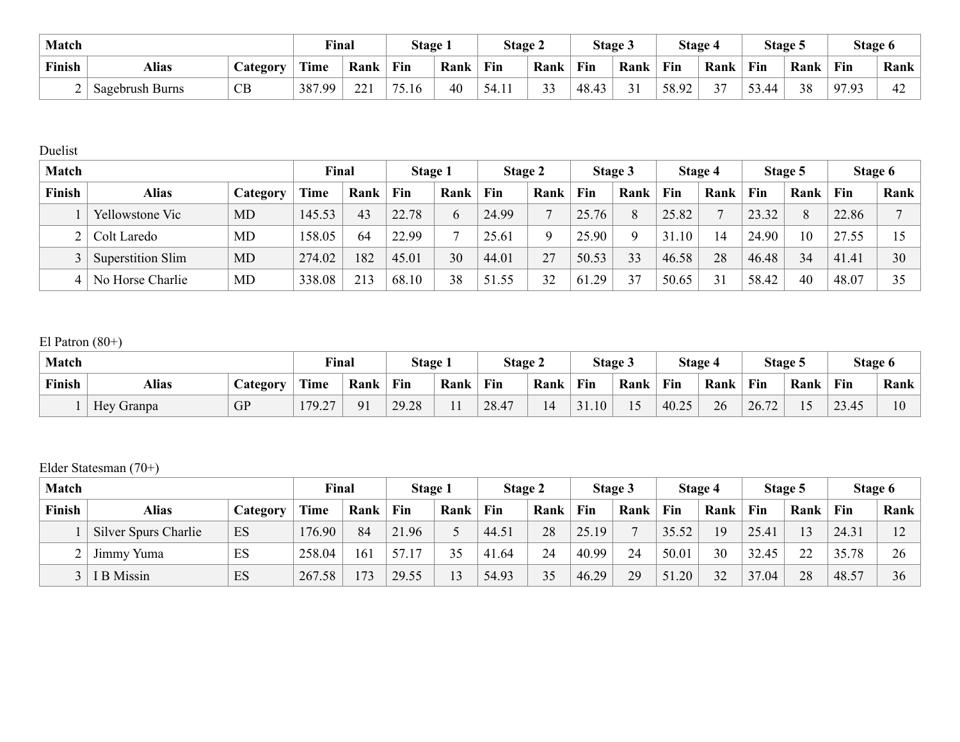| <b>Match</b> |                        |                                   | Final  |            | Stage 1             |      | Stage 2 |               |       | Stage 3 |       | Stage 4       | Stage 5 |      | Stage 6 |      |
|--------------|------------------------|-----------------------------------|--------|------------|---------------------|------|---------|---------------|-------|---------|-------|---------------|---------|------|---------|------|
| Finish       | <b>Alias</b>           | $\mathcal{L}$ ategor $\mathbf{v}$ | Time   | Rank       | Fin                 | Rank | Fin     | Rank          | Fin   | Rank    | Fin   | Rank          | Fin     | Rank | Fin     | Rank |
|              | <b>Sagebrush Burns</b> | CB                                | 387.99 | 221<br>441 | $75^\circ$<br>75.16 | 40   | 54.11   | $\sim$<br>ر ر | 48.43 | 31      | 58.92 | $\sim$ $\sim$ | 53.44   | 38   | 97.93   | 42   |

Duelist

| <b>Match</b> |                   |           | Final       |      | Stage 1 |      | Stage 2 |      |       | Stage 3 |           | Stage 4 |       | Stage 5 |       | Stage 6 |
|--------------|-------------------|-----------|-------------|------|---------|------|---------|------|-------|---------|-----------|---------|-------|---------|-------|---------|
| Finish       | <b>Alias</b>      | Category  | <b>Time</b> | Rank | Fin     | Rank | Fin     | Rank | Fin   | Rank    | Fin       | Rank    | Fin   | Rank    | Fin   | Rank    |
|              | Yellowstone Vic   | <b>MD</b> | 145.53      | 43   | 22.78   | b    | 24.99   |      | 25.76 | 8       | 25.82     |         | 23.32 | 8       | 22.86 |         |
|              | Colt Laredo       | MD        | 158.05      | 64   | 22.99   | −    | 25.61   |      | 25.90 | Q       | .10<br>31 | 14      | 24.90 | 10      | 27.55 | 15      |
|              | Superstition Slim | MD        | 274.02      | 182  | 45.01   | 30   | 44.01   | 27   | 50.53 | 33      | 46.58     | 28      | 46.48 | 34      | 41.41 | 30      |
| 4            | No Horse Charlie  | MD        | 338.08      | 213  | 68.10   | 38   | 51.55   | 32   | 61.29 | 37      | 50.65     | 31      | 58.42 | 40      | 48.07 | 35      |

## El Patron (80+)

| Match  |              |           | Final  |                | Stage 1 |          | Stage 2 |      | Stage 3 |      | <b>Stage 4</b> |      | Stage 5                         |                                | Stage 6 |      |
|--------|--------------|-----------|--------|----------------|---------|----------|---------|------|---------|------|----------------|------|---------------------------------|--------------------------------|---------|------|
| Finish | <b>Alias</b> | Category  | Time   | Rank           | Fin     | Rank     | Fin     | Rank | Fin     | Rank | Fin            | Rank | Fin                             | Rank                           | Fin     | Rank |
|        | Hey Granpa   | <b>GP</b> | 179.27 | Q <sub>1</sub> | 29.28   | 11<br>11 | 28.47   | 14   | 31.10   | 15   | 40.25          | 26   | $\sqrt{2}$<br>26.<br>$\sqrt{2}$ | $\overline{\phantom{0}}$<br>ιJ | 23.45   | 10   |

Elder Statesman (70+)

| <b>Match</b> |                      |                  | Final       |      | <b>Stage 1</b> |                | Stage 2 |      |       | Stage 3 |            | Stage 4 |       | Stage 5 |       | Stage 6 |
|--------------|----------------------|------------------|-------------|------|----------------|----------------|---------|------|-------|---------|------------|---------|-------|---------|-------|---------|
| Finish       | <b>Alias</b>         | <i>C</i> ategory | <b>Time</b> | Rank | Fin            | Rank           | Fin     | Rank | Fin   | Rank    | Fin        | Rank    | Fin   | Rank    | Fin   | Rank    |
|              | Silver Spurs Charlie | ES               | 176.90      | 84   | 21.96          |                | 44.51   | 28   | 25.19 | −       | 35.52      | 19      | 25.41 | 13      | 24.31 | 12      |
|              | Jimmy Yuma           | ES               | 258.04      | 161  | 57.17          | 35             | 41.64   | 24   | 40.99 | 24      | 50.01      | 30      | 32.45 | 22      | 35.78 | 26      |
|              | $3$   I B Missin     | ES               | 267.58      | 73   | 29.55          | 1 <sup>2</sup> | 54.93   | 35   | 46.29 | 29      | 51.<br>.20 | 32      | 37.04 | 28      | 48.57 | 36      |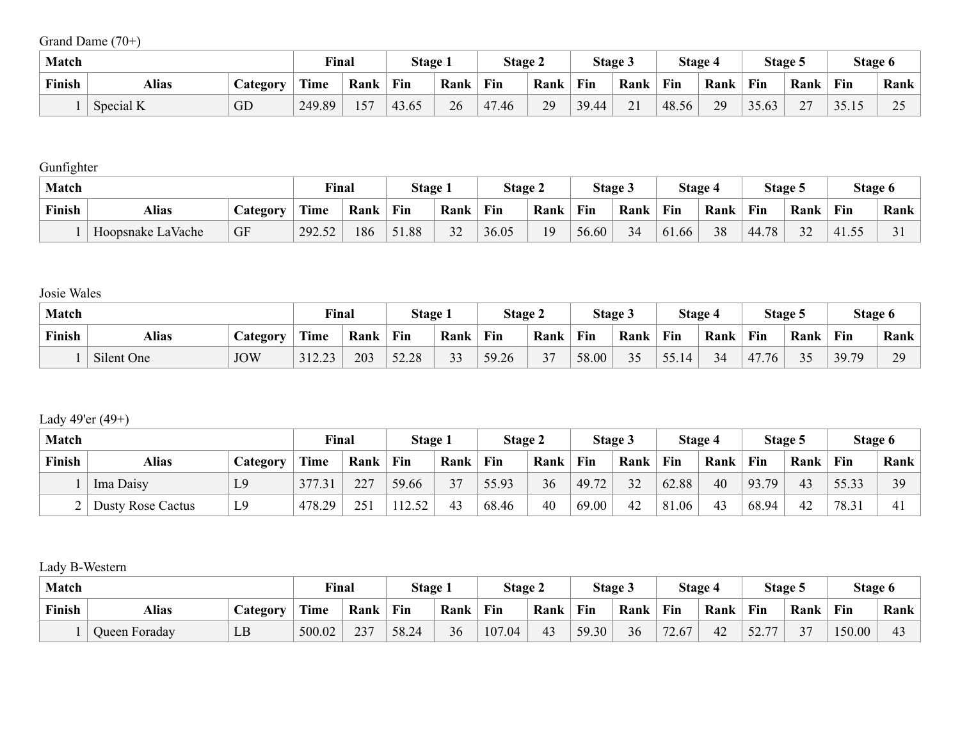Grand Dame (70+)

| <b>Match</b> |              |                       | Final  |      | Stage 1 |      | Stage 2 |      |       | Stage 3 |            | Stage 4 | Stage 5 |      | Stage 6 |                                             |
|--------------|--------------|-----------------------|--------|------|---------|------|---------|------|-------|---------|------------|---------|---------|------|---------|---------------------------------------------|
| Finish       | <b>Alias</b> | $\mathcal{L}$ ategory | Time   | Rank | Fin     | Rank | Fin     | Rank | Fin   | Rank    | <b>Fin</b> | Rank    | Fin     | Rank | Fin     | Rank                                        |
|              | Special K    | GD                    | 249.89 | 157  | 43.65   | 26   | 47.46   | 29   | 39.44 | 21      | 48.56      | 29      | 35.63   | n –  | JJ.IJ   | $\Delta$ $\tau$<br>$\overline{\phantom{a}}$ |

**Gunfighter** 

| <b>Match</b> |                   |                 | <b>Final</b> |                    | Stage 1 |                | <b>Stage 2</b> |      |       | Stage 3 |       | Stage 4 |       | Stage 5      | <b>Stage 6</b> |      |
|--------------|-------------------|-----------------|--------------|--------------------|---------|----------------|----------------|------|-------|---------|-------|---------|-------|--------------|----------------|------|
| Finish       | <b>Alias</b>      | <b>Category</b> | <b>Time</b>  | <b>Fin</b><br>Rank |         | Rank           | Fin            | Rank | Fin   | Rank    | Fin   | Rank    | Fin   | Rank         | Fin            | Rank |
|              | Hoopsnake LaVache | <b>GF</b>       | 292.52       | 186                | 51.88   | $\Omega$<br>32 | 36.05          | 1Q   | 56.60 | 34      | 61.66 | 38      | 44.78 | $\mathbf{A}$ | 141.5.         |      |

Josie Wales

| <b>Match</b> |            |            | <b>Final</b>      |      | <b>Stage 1</b> |                          | <b>Stage 2</b> |           | Stage 3 |      |                                 | Stage 4 |          | Stage 5 | Stage 6 |                                |
|--------------|------------|------------|-------------------|------|----------------|--------------------------|----------------|-----------|---------|------|---------------------------------|---------|----------|---------|---------|--------------------------------|
| Finish       | Alias      | Category   | Time              | Rank | Fin            | Rank                     | Fin            | Rank      | Fin     | Rank | Fin                             | Rank    | Fin      | Rank    | Fin     | Rank                           |
|              | Silent One | <b>JOW</b> | 31223<br>ر ے دے ر | 203  | 52.28          | $\mathbf{\Omega}$<br>ر ر | 59.26          | 27<br>، ر | 58.00   | 35   | 55.1<br>$\overline{14}$<br>JJ.I | 34<br>ັ | 47<br>76 | 25      | 39.79   | 20<br>$\overline{\phantom{0}}$ |

Lady 49'er (49+)

| <b>Match</b> |                          |          | <b>Final</b> |      | Stage 1 |      | Stage 2 |      |       | Stage 3 |       | Stage 4 |            | Stage 5 | Stage 6 |              |
|--------------|--------------------------|----------|--------------|------|---------|------|---------|------|-------|---------|-------|---------|------------|---------|---------|--------------|
| Finish       | <b>Alias</b>             | Category | Time         | Rank | Fin     | Rank | Fin     | Rank | Fin   | Rank    | Fin   | Rank    | Fin        | Rank    | Fin     | Rank         |
|              | Ima Daisy                | L9       | 377.31       | 227  | 59.66   | 37   | 55.93   | 36   | 49.72 | 32      | 62.88 | 40      | 93.<br>.79 | 43      | 55.33   | 39           |
|              | <b>Dusty Rose Cactus</b> | L9       | 478.29       | 251  | 12.52   | 43   | 68.46   | 40   | 69.00 | 42      | 81.06 | 43      | 68.94      | 42      | 78.31   | $\mathbf{4}$ |

Lady B-Western

| <b>Match</b> |               |          | <b>Final</b> |      | Stage 1 |      | <b>Stage 2</b> |      | Stage 3 |      |       | Stage 4 |                                         | Stage 5       | Stage 6 |                |
|--------------|---------------|----------|--------------|------|---------|------|----------------|------|---------|------|-------|---------|-----------------------------------------|---------------|---------|----------------|
| Finish       | Alias         | Jategory | <b>Time</b>  | Rank | Fin     | Rank | Fin            | Rank | Fin     | Rank | Fin   | Rank    | <b>Fin</b>                              | Rank          | Fin     | Rank           |
|              | Queen Foraday | LB       | 500.02       | 237  | 58.24   | 36   | 107.04         | 43   | 59.30   | 36   | 72.67 | 42      | - ^<br>$\overline{\phantom{m}}$<br>22.1 | $\sim$ $\sim$ | 150.00  | 4 <sup>2</sup> |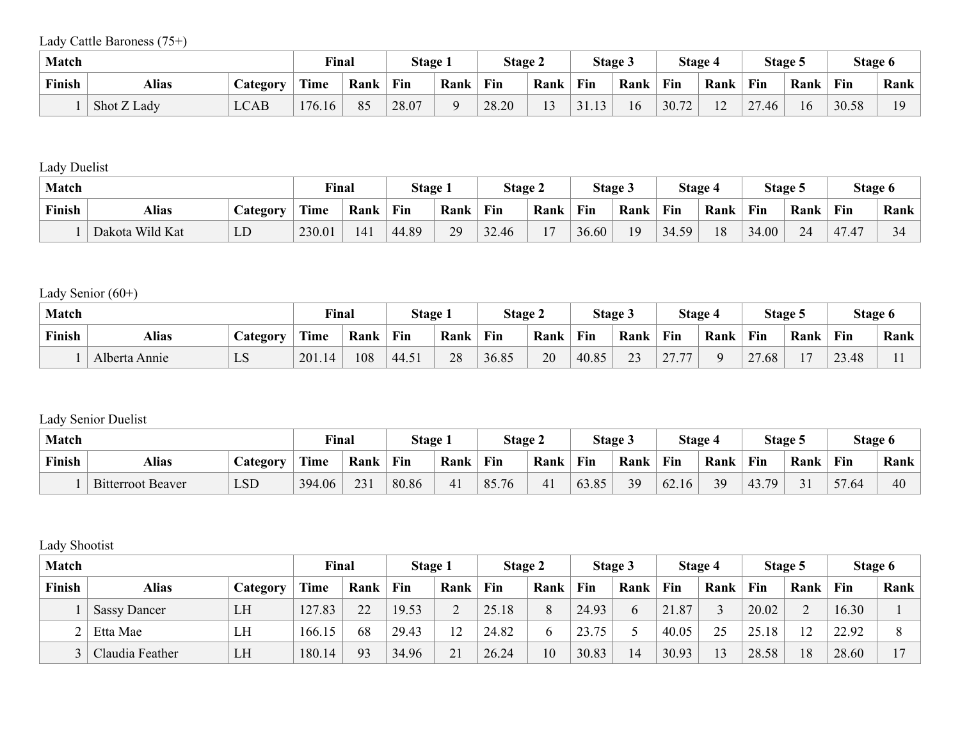Lady Cattle Baroness (75+)

| <b>Match</b>  |             |                       | <b>Final</b> |      | Stage 1 |      | <b>Stage 2</b> |        |       | <b>Stage 3</b> |       | Stage 4                          | Stage 5 |      | Stage 6 |      |
|---------------|-------------|-----------------------|--------------|------|---------|------|----------------|--------|-------|----------------|-------|----------------------------------|---------|------|---------|------|
| <b>Finish</b> | Alias       | $\mathcal{L}$ ategory | Time         | Rank | Fin     | Rank | Fin            | Rank   | Fin   | Rank           | Fin   | Rank                             | Fin     | Rank | Fin     | Rank |
|               | Shot Z Lady | LCAB                  | 176.16       | 85   | 28.07   |      | 28.20          | $\sim$ | 31.13 | 16             | 30.72 | 1 <sub>0</sub><br>$\overline{ }$ | 27.46   | 16   | 30.58   | 1 Q  |

Lady Duelist

| <b>Match</b>  |                 |                 | <b>Final</b> |      | <b>Stage 1</b> |      | <b>Stage 2</b> |       | Stage 3 |      | <b>Stage 4</b> |      |       | Stage 5 | Stage 6                     |                  |
|---------------|-----------------|-----------------|--------------|------|----------------|------|----------------|-------|---------|------|----------------|------|-------|---------|-----------------------------|------------------|
| <b>Finish</b> | Alias           | <i>_ategory</i> | Time         | Rank | Fin            | Rank | Fin            | Rank  | Fin     | Rank | Fin            | Rank | Fin   | Rank    | Fin                         | Rank             |
|               | Dakota Wild Kat | LD              | 230.01       | 141  | 44.89          | 29   | 32.46          | $1 -$ | 36.60   | 19   | 34.59          | 18   | 34.00 | 24      | $\overline{1}$<br>1.47<br>4 | $\sim$ $\lambda$ |

Lady Senior (60+)

| <b>Match</b>  |               |                 | <b>Final</b> |      | <b>Stage 1</b> |      | Stage 2 |      | <b>Stage 3</b> |                         | Stage 4          |      | Stage 5             |                | Stage 6 |      |
|---------------|---------------|-----------------|--------------|------|----------------|------|---------|------|----------------|-------------------------|------------------|------|---------------------|----------------|---------|------|
| <b>Finish</b> | Alias         | <i>_ategory</i> | Time         | Rank | Fin            | Rank | Fin     | Rank | Fin            | Rank                    | Fin              | Rank | Fin                 | Rank           | Fin     | Rank |
|               | Alberta Annie | ്ധ              | 201<br>.14   | 108  | 44.51          | 28   | 36.85   | 20   | 40.85          | $\mathbf{\Omega}$<br>ر∠ | 2777<br><u>.</u> |      | $\sim$<br>.68<br>∸. | $\blacksquare$ | 23.48   |      |

## Lady Senior Duelist

| <b>Match</b> |                          |                 | <b>Final</b> |      | <b>Stage 1</b> |      | <b>Stage 2</b> |      |            | Stage 3 |       | Stage 4 |           | Stage 5 | Stage 6 |      |
|--------------|--------------------------|-----------------|--------------|------|----------------|------|----------------|------|------------|---------|-------|---------|-----------|---------|---------|------|
| Finish       | Alias                    | <i>_ategory</i> | Time         | Rank | Fin            | Rank | Fin            | Rank | <b>Fin</b> | Rank    | Fin   | Rank    | Fin       | Rank    | Fin     | Rank |
|              | <b>Bitterroot Beaver</b> | LSD             | 394.06       | 231  | 80.86          | 41   | 85.76          | 41   | 63.85      | 39      | 62.16 | 39      | 79<br>43. |         | 57.64   | 40   |

Lady Shootist

| <b>Match</b>  |                     |                        | Final       |      | Stage 1 |      | Stage 2 |      |       | Stage 3 |       | <b>Stage 4</b> |       | Stage 5 |       | Stage 6 |
|---------------|---------------------|------------------------|-------------|------|---------|------|---------|------|-------|---------|-------|----------------|-------|---------|-------|---------|
| <b>Finish</b> | Alias               | <b><i>Category</i></b> | <b>Time</b> | Rank | Fin     | Rank | Fin     | Rank | Fin   | Rank    | Fin   | Rank           | Fin   | Rank    | Fin   | Rank    |
|               | <b>Sassy Dancer</b> | LH                     | 127.83      | 22   | 19.53   |      | 25.18   | 8    | 24.93 | h       | 21.87 |                | 20.02 |         | 16.30 |         |
|               | Etta Mae            | LH                     | 166.15      | 68   | 29.43   |      | 24.82   | 6    | 23.75 |         | 40.05 | つく             | 25.18 | 12      | 22.92 |         |
|               | Claudia Feather     | LH                     | 180.14      | 93   | 34.96   | 21   | 26.24   | 10   | 30.83 | 14      | 30.93 | 13             | 28.58 | 18      | 28.60 | 17      |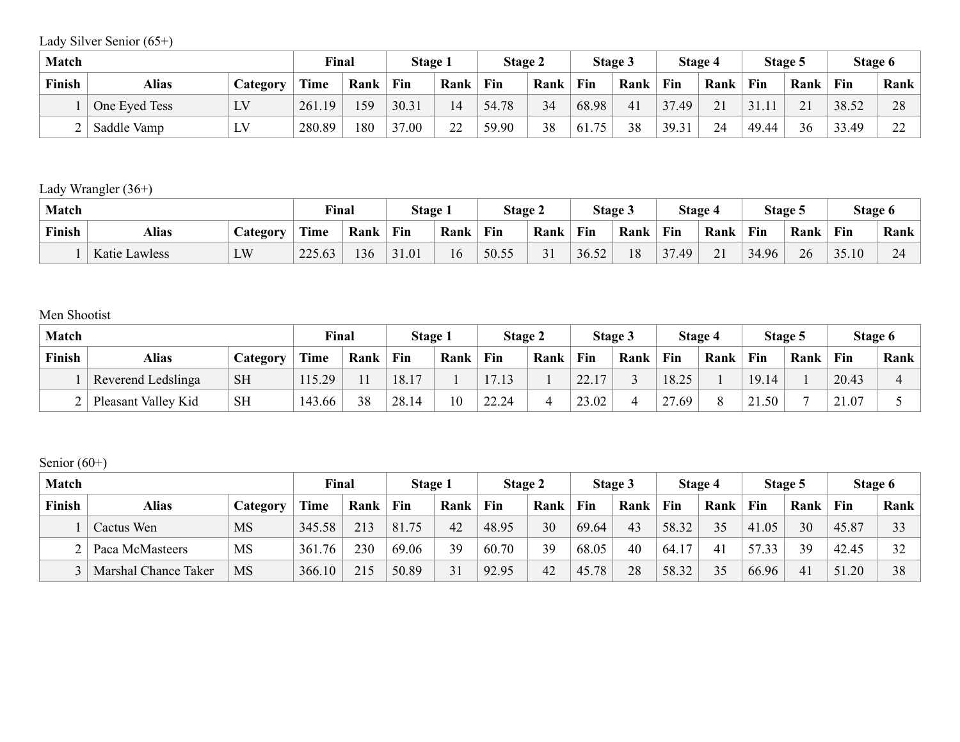Lady Silver Senior (65+)

| <b>Match</b> |               |                                    | <b>Final</b> |      | Stage 1 |         | Stage 2 |      | <b>Stage 3</b> |      | Stage 4 |      | Stage 5 |                   | Stage 6 |              |
|--------------|---------------|------------------------------------|--------------|------|---------|---------|---------|------|----------------|------|---------|------|---------|-------------------|---------|--------------|
| Finish       | Alias         | $\mathcal{L}$ ategory              | Time         | Rank | Fin     | Rank    | Fin     | Rank | Fin            | Rank | Fin     | Rank | Fin     | Rank              | Fin     | Rank         |
|              | One Eyed Tess | $\overline{I}$ $\overline{V}$<br>ப | 261.19       | 159  | 30.31   | 14      | 54.78   | 34   | 68.98          | 41   | 37.49   | 21   | 31.11   | $\mathbf{\Omega}$ | 38.52   | 28           |
|              | Saddle Vamp   | LV                                 | 280.89       | 180  | 37.00   | ററ<br>∸ | 59.90   | 38   | -75<br>61.7    | 38   | 39.31   | 24   | 49.44   | 36                | 33.49   | $\sim$<br>∠∠ |

Lady Wrangler (36+)

| <b>Match</b>  |               |                  | <b>Final</b> |      | Stage 1 |      | <b>Stage 2</b> |      | Stage 3 |      | <b>Stage 4</b> |                  | Stage 5 |      | Stage 6 |                                       |
|---------------|---------------|------------------|--------------|------|---------|------|----------------|------|---------|------|----------------|------------------|---------|------|---------|---------------------------------------|
| <b>Finish</b> | <b>Alias</b>  | <i>c</i> ategory | Time         | Rank | Fin     | Rank | Fin            | Rank | Fin     | Rank | Fin            | Rank             | Fin     | Rank | Fin     | Rank                                  |
|               | Katie Lawless | LW               | 225.63       | 36   | 31.01   | 16   | 50.55          | 31   | 36.52   | 18   | 37.49          | 21<br><u>∠ i</u> | 34.96   | 26   | 35.10   | $\bigcap$ $\bigcap$<br>2 <sup>4</sup> |

Men Shootist

| <b>Match</b> |                     |                        | Final       |      | Stage 1 |      | <b>Stage 2</b> |      | <b>Stage 3</b> |      | <b>Stage 4</b> |      | Stage 5 |      | Stage 6 |      |
|--------------|---------------------|------------------------|-------------|------|---------|------|----------------|------|----------------|------|----------------|------|---------|------|---------|------|
| Finish       | Alias               | <i><b>Lategory</b></i> | <b>Time</b> | Rank | Fin     | Rank | Fin            | Rank | Fin            | Rank | Fin            | Rank | Fin     | Rank | Fin     | Rank |
|              | Reverend Ledslinga  | <b>SH</b>              | 115.29      |      | 18.17   |      |                |      | (22.17)        |      | 18.25          |      | 19.14   |      | 20.43   |      |
|              | Pleasant Valley Kid | <b>SH</b>              | 143.66      | 38   | 28.14   | 10   | 22.24          |      | 23.02          |      | 27.69          |      | 21.50   |      | 21.07   |      |

Senior (60+)

| <b>Match</b> |                      | Final     |             | Stage 1 |       | Stage 2 |       | Stage 3 |       | <b>Stage 4</b> |       | Stage 5                |           | Stage 6 |       |      |
|--------------|----------------------|-----------|-------------|---------|-------|---------|-------|---------|-------|----------------|-------|------------------------|-----------|---------|-------|------|
| Finish       | <b>Alias</b>         | Category  | <b>Time</b> | Rank    | Fin   | Rank    | Fin   | Rank    | Fin   | Rank           | Fin   | Rank                   | Fin       | Rank    | Fin   | Rank |
|              | Cactus Wen           | <b>MS</b> | 345.58      | 213     | 81.75 | 42      | 48.95 | 30      | 69.64 | 43             | 58.32 | 35                     | 41.05     | 30      | 45.87 | 33   |
|              | Paca McMasteers      | MS        | .76<br>361. | 230     | 69.06 | 39      | 60.70 | 39      | 68.05 | 40             | 64.17 | $\mathcal{L}^{\prime}$ | 57<br>.33 | 39      | 42.45 | 22   |
|              | Marshal Chance Taker | <b>MS</b> | 366.10      | 215     | 50.89 | 31      | 92.95 | 42      | 45.78 | 28             | 58.32 | 35                     | 66.96     |         | 51.20 | 38   |